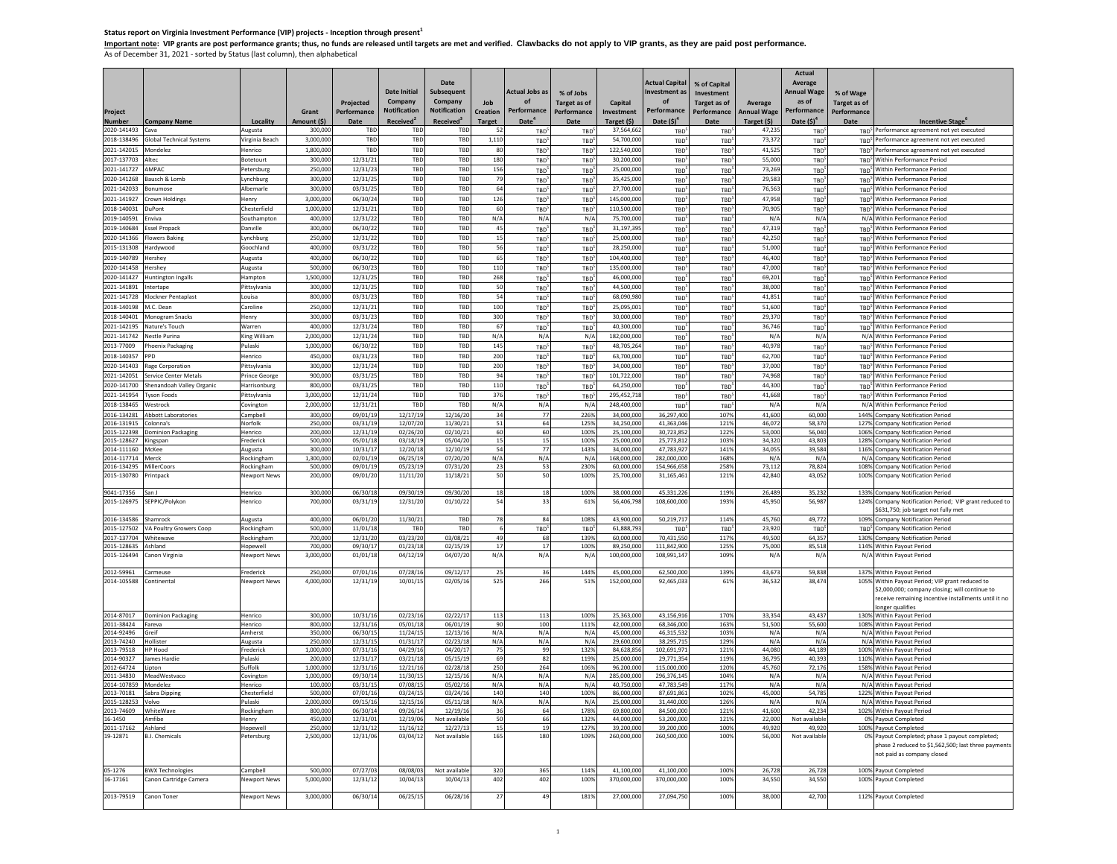Status report on Virginia Investment Performance (VIP) projects - Inception through present<sup>1</sup><br><u>Important note</u>: VIP grants are post performance grants; thus, no funds are released until targets are met and verified. Claw

| Project                      |                                        |                                  | Grant                 | <b>Projected</b><br>Performance | <b>Date Initial</b><br>Company<br><b>Notification</b><br><b>Received</b> | Date<br><b>Subsequent</b><br>Company<br><b>Notification</b><br><b>Received</b> <sup>3</sup> | Job<br><b>Creation</b> | <b>Actual Jobs as</b><br>of<br>Performance<br>Date <sup>4</sup> | % of Jobs<br><b>Target as of</b><br>Performance<br>Date | Capital<br>Investment      | <b>Actual Capita</b><br>nvestment a<br>of<br>Performance | % of Capital<br>Investment<br><b>Target as of</b><br>Performance<br>Date | Average<br><b>Annual Wage</b> | Actual<br>Average<br><b>Annual Wage</b><br>as of<br>Performance<br>Date (\$) <sup>4</sup> | % of Wage<br><b>Target as of</b><br>Performance |                                                                                               |
|------------------------------|----------------------------------------|----------------------------------|-----------------------|---------------------------------|--------------------------------------------------------------------------|---------------------------------------------------------------------------------------------|------------------------|-----------------------------------------------------------------|---------------------------------------------------------|----------------------------|----------------------------------------------------------|--------------------------------------------------------------------------|-------------------------------|-------------------------------------------------------------------------------------------|-------------------------------------------------|-----------------------------------------------------------------------------------------------|
| <b>Number</b><br>2020-141493 | <b>Company Name</b><br>Cava            | Locality<br>lugusta              | Amount (\$)<br>300,00 | Date<br>TBD                     | TBD                                                                      | TBD                                                                                         | <b>Target</b><br>52    | <b>TBD</b>                                                      | TBD                                                     | Target (\$)<br>37,564,662  | Date $(5)^4$<br>TBC                                      | <b>TBD</b>                                                               | Target (\$)<br>47,235         | TBD <sup>3</sup>                                                                          |                                                 | <b>Incentive Stage</b><br>TBD <sup>5</sup> Performance agreement not yet executed             |
| 2018-138496                  | <b>Global Technical Systems</b>        | Virginia Beach                   | 3.000.00              | TBD                             | TBD                                                                      | TBD                                                                                         | 1,110                  | TBD                                                             | TBD                                                     | 54,700,000                 | TBD                                                      | TRD                                                                      | 73.372                        | TBD <sup>5</sup>                                                                          |                                                 | TBD <sup>5</sup> Performance agreement not yet executed                                       |
| 2021-142015                  | Mondelez                               | Henrico                          | 1,800,00              | TBD                             | TBD                                                                      | TBD                                                                                         | 80                     | TBD <sup>5</sup>                                                | TBD <sup>5</sup>                                        | 122,540,000                | TBC                                                      | <b>TRD</b>                                                               | 41,525                        | TBD <sup>1</sup>                                                                          |                                                 | TBD <sup>5</sup> Performance agreement not yet executed                                       |
| 2017-137703                  | Alteo                                  | Botetourt                        | 300,00                | 12/31/21                        | TBD                                                                      | TBD                                                                                         | 180                    | TBD <sup>5</sup>                                                | TBD <sup>5</sup>                                        | 30,200,000                 | TBC                                                      | TBD <sup>1</sup>                                                         | 55,000                        | TBD <sup>3</sup>                                                                          |                                                 | TBD <sup>5</sup> Within Performance Period                                                    |
| 2021-141727                  | AMPAC                                  | Petersburg                       | 250,00                | 12/31/23                        | TBD                                                                      | TBD                                                                                         | 156                    | TBD <sup>5</sup>                                                | TBD                                                     | 25,000,000                 | TBD                                                      | TRD                                                                      | 73.269                        | TBD <sup>5</sup>                                                                          |                                                 | TBD <sup>5</sup> Within Performance Period                                                    |
| 2020-141268<br>2021-142033   | Bausch & Lomb<br>Bonumose              | Lynchburg<br>Albemarle           | 300,00<br>300,00      | 12/31/25<br>03/31/25            | TBD<br>TBD                                                               | TBD<br>TBD                                                                                  | 79<br>64               | TBD <sup>5</sup><br>TBD <sup>5</sup>                            | TBD<br><b>TBD</b>                                       | 35,425,000<br>27,700,000   | TBD                                                      | TBD <sup>5</sup><br><b>TBD</b>                                           | 29,583<br>76,563              | TBD <sup>5</sup>                                                                          |                                                 | TBD <sup>5</sup> Within Performance Period<br>TBD <sup>5</sup> Within Performance Period      |
| 2021-141927                  | Crown Holdings                         | Henry                            | 3,000,000             | 06/30/24                        | TBD                                                                      | TBD                                                                                         | 126                    | TBD <sup>5</sup>                                                | TBD <sup>5</sup>                                        | 145,000,000                | TBD<br>TBD                                               | TBD <sup>5</sup>                                                         | 47,958                        | TBD <sup>5</sup><br>TBD <sup>5</sup>                                                      |                                                 | TBD <sup>5</sup> Within Performance Period                                                    |
| 2018-140031                  | DuPont                                 | Chesterfield                     | 1,000,000             | 12/31/21                        | TBD                                                                      | TBD                                                                                         | 60                     | TBD <sup>5</sup>                                                | TBD <sup>5</sup>                                        | 110,500,000                | TBD                                                      | TBD <sup>®</sup>                                                         | 70,905                        | TBD <sup>5</sup>                                                                          |                                                 | TBD <sup>5</sup> Within Performance Period                                                    |
| 2019-140591                  | Enviva                                 | Southampton                      | 400,000               | 12/31/22                        | TBD                                                                      | TBD                                                                                         | N/A                    | N/A                                                             | N/A                                                     | 75,700,000                 | TBD                                                      | TBD                                                                      | N/A                           | N/A                                                                                       |                                                 | N/A Within Performance Period                                                                 |
| 2019-140684                  | <b>Essel Propack</b>                   | Danville                         | 300,000               | 06/30/22                        | TBD                                                                      | TBD                                                                                         | 45                     | TBD <sup>5</sup>                                                | TBD <sup>5</sup>                                        | 31,197,39                  | TBD                                                      | TBD <sup>5</sup>                                                         | 47,319                        | TBD <sup>5</sup>                                                                          |                                                 | TBD <sup>5</sup> Within Performance Period                                                    |
| 2020-141366                  | <b>Flowers Baking</b>                  | Lynchburg                        | 250,000               | 12/31/22                        | TBD                                                                      | TBD                                                                                         | 15                     | TBD <sup>5</sup>                                                | TBD <sup>5</sup>                                        | 25,000,000                 | TBD                                                      | TBD                                                                      | 42,250                        | TBD <sup>5</sup>                                                                          |                                                 | TBD <sup>5</sup> Within Performance Period                                                    |
| 2015-131308                  | Hardywood                              | Goochland                        | 400,000               | 03/31/22                        | TBD                                                                      | TBD                                                                                         | 56                     | TBD <sup>5</sup>                                                | TBD <sup>5</sup>                                        | 28,250,000                 | TBD                                                      | TBD <sup>5</sup>                                                         | 51,000                        | TBD <sup>5</sup>                                                                          |                                                 | TBD <sup>5</sup> Within Performance Period                                                    |
| 2019-140789<br>2020-141458   | Hershey<br>Hershey                     | Augusta<br>Augusta               | 400,000<br>500,000    | 06/30/22<br>06/30/23            | TBD<br>TBD                                                               | TBD<br>TBD                                                                                  | 65<br>110              | TBD <sup>5</sup>                                                | TBD <sup>5</sup>                                        | 104,400,000<br>135,000,000 | TBD                                                      | TBD <sup>®</sup>                                                         | 46,400<br>47,000              | TBD <sup>5</sup>                                                                          |                                                 | TBD <sup>5</sup> Within Performance Period<br>TBD <sup>5</sup> Within Performance Period      |
| 2020-141427                  | <b>Huntington Ingalls</b>              | Hampton                          | 1,500,000             | 12/31/25                        | TBD                                                                      | TBD                                                                                         | 268                    | TBD <sup>5</sup><br>TBD <sup>5</sup>                            | TBD <sup>5</sup><br>TBD <sup>5</sup>                    | 46,000,000                 | TBD<br>TBD                                               | TBD <sup>5</sup><br>TBD <sup>3</sup>                                     | 69,201                        | TBD <sup>5</sup><br>TBD <sup>5</sup>                                                      |                                                 | TBD <sup>5</sup> Within Performance Period                                                    |
| 2021-141891                  | Intertape                              | Pittsylvania                     | 300,000               | 12/31/25                        | TBD                                                                      | TBD                                                                                         | 50                     | TBD <sup>5</sup>                                                | <b>TBD</b>                                              | 44,500,000                 | TBD                                                      | TBD <sup>5</sup>                                                         | 38,000                        | TBD <sup>3</sup>                                                                          |                                                 | TBD <sup>5</sup> Within Performance Period                                                    |
| 2021-141728                  | Klockner Pentaplast                    | Louisa                           | 800,000               | 03/31/23                        | TBD                                                                      | TBD                                                                                         | 54                     | TBD <sup>5</sup>                                                | TBD <sup>5</sup>                                        | 68,090,980                 | TBD                                                      | TBD <sup>5</sup>                                                         | 41.851                        | TBD <sup>5</sup>                                                                          |                                                 | TBD <sup>5</sup> Within Performance Period                                                    |
| 2018-140198                  | M.C. Dean                              | Caroline                         | 250,000               | 12/31/21                        | TBD                                                                      | TBD                                                                                         | 100                    | TBD <sup>5</sup>                                                | TBD <sup>5</sup>                                        | 25.095.00                  | TBD                                                      | TBD <sup>3</sup>                                                         | 51,600                        | TBD <sup>5</sup>                                                                          |                                                 | TBD <sup>5</sup> Within Performance Period                                                    |
| 2018-140401                  | Monogram Snacks                        | Henry                            | 300,000               | 03/31/23                        | TBD                                                                      | TBD                                                                                         | 300                    | TBD <sup>5</sup>                                                | TBD <sup>5</sup>                                        | 30,000,000                 | TBD                                                      | TBD <sup>1</sup>                                                         | 29,370                        | TBD <sup>1</sup>                                                                          |                                                 | TBD <sup>5</sup> Within Performance Period                                                    |
| 2021-142195                  | Nature's Touch                         | Warren                           | 400,000               | 12/31/24                        | TBD                                                                      | TBD                                                                                         | 67                     | TBD <sup>5</sup>                                                | TBD <sup>5</sup>                                        | 40,300,00                  | TBD                                                      | TBD <sup>5</sup>                                                         | 36,746                        | TBD <sup>5</sup>                                                                          |                                                 | TBD <sup>5</sup> Within Performance Period                                                    |
| 2021-141742                  | Nestle Purina                          | King William                     | 2.000.000             | 12/31/24                        | TBD                                                                      | TBD                                                                                         | N/A                    | N/A                                                             | N/A                                                     | 182,000,000                | TBD                                                      | <b>TBD</b>                                                               | N/A                           | N/A                                                                                       |                                                 | N/A Within Performance Period                                                                 |
| 2013-77009<br>2018-140357    | Phoenix Packaging<br>PPD               | Pulaski<br>Henrico               | 1,000,000<br>450,000  | 06/30/22<br>03/31/23            | TBD<br>TBD                                                               | TBD<br>TBD                                                                                  | 145<br><b>200</b>      | TBD <sup>5</sup><br>TBD <sup>5</sup>                            | TBD <sup>5</sup><br>TBD                                 | 48,705,264<br>63,700,000   | TBD<br>TBD                                               | TBD <sup>1</sup><br><b>TBD</b>                                           | 40,978<br>62,700              | TBD <sup>5</sup><br>TBD <sup>5</sup>                                                      |                                                 | TBD <sup>5</sup> Within Performance Period<br>TBD <sup>5</sup> Within Performance Period      |
| 2020-141403                  | Rage Corporation                       | Pittsylvania                     | 300,000               | 12/31/24                        | TBD                                                                      | TBD                                                                                         | 200                    | TBD <sup>5</sup>                                                | TBD                                                     | 34,000,000                 | TBD                                                      | TBD <sup>5</sup>                                                         | 37,000                        | TBD <sup>:</sup>                                                                          |                                                 | TBD <sup>5</sup> Within Performance Period                                                    |
| 2021-142051                  | <b>Service Center Metals</b>           | <b>Prince George</b>             | 900,000               | 03/31/25                        | TBD                                                                      | TBD                                                                                         | 94                     | TBD <sup>5</sup>                                                | TBD <sup>5</sup>                                        | 101,722,000                | TBD                                                      | TBD <sup>5</sup>                                                         | 74.968                        | TBD <sup>5</sup>                                                                          |                                                 | TBD <sup>5</sup> Within Performance Period                                                    |
| 2020-141700                  | Shenandoah Valley Organic              | Harrisonburg                     | 800,000               | 03/31/25                        | TBD                                                                      | TBD                                                                                         | 110                    | TBD <sup>5</sup>                                                | TBD <sup>5</sup>                                        | 64,250,000                 | TBD                                                      | TBD <sup>5</sup>                                                         | 44,300                        | TBD <sup>5</sup>                                                                          |                                                 | TBD <sup>5</sup> Within Performance Period                                                    |
| 2021-141954                  | Tyson Foods                            | Pittsylvania                     | 3,000,000             | 12/31/24                        | TBD                                                                      | TBD                                                                                         | 376                    | TBD <sup>5</sup>                                                | TBD <sup>5</sup>                                        | 295,452,718                | TBD                                                      | TBD <sup>5</sup>                                                         | 41.668                        | TBD <sup>5</sup>                                                                          |                                                 | TBD <sup>5</sup> Within Performance Period                                                    |
| 2018-138465                  | Westrock                               | Covington                        | 2.000.000             | 12/31/21                        | TBD                                                                      | TBD                                                                                         | N/A                    | N/A                                                             | N/A                                                     | 248,400,000                | TBD                                                      | TBD <sup>5</sup>                                                         | N/A                           | N/A                                                                                       |                                                 | N/A Within Performance Period                                                                 |
| 2016-134281<br>2016-131915   | <b>Abbott Laboratories</b>             | Campbell                         | 300,000<br>250,000    | 09/01/19<br>03/31/19            | 12/17/19<br>12/07/20                                                     | 12/16/20<br>11/30/21                                                                        | 34<br>51               | 77                                                              | 226%<br>125%                                            | 34,000,000<br>34.250.000   | 36,297,40<br>41.363.04                                   | 107%<br>121%                                                             | 41,600<br>46.072              | 60,000<br>58.370                                                                          |                                                 | 144% Company Notification Period                                                              |
| 2015-122398                  | Colonna's<br><b>Dominion Packaging</b> | Norfolk<br>Henrico               | 200,000               | 12/31/19                        | 02/26/20                                                                 | 02/10/21                                                                                    | 60                     | 64<br>60                                                        | 100%                                                    | 25,100,000                 | 30.723.85                                                | 122%                                                                     | 53,000                        | 56,040                                                                                    |                                                 | 127% Company Notification Period<br>106% Company Notification Period                          |
| 2015-128627 Kingspan         |                                        | Frederick                        | 500,000               | 05/01/18                        | 03/18/19                                                                 | 05/04/20                                                                                    | 15                     | 15                                                              | 100%                                                    | 25,000,000                 | 25,773,81                                                | 103%                                                                     | 34,320                        | 43,803                                                                                    |                                                 | 128% Company Notification Period                                                              |
| 2014-111160 McKee            |                                        | Augusta                          | 300,000               | 10/31/17                        | 12/20/18                                                                 | 12/10/19                                                                                    | 54                     | 77                                                              | 143%                                                    | 34,000,000                 | 47.783.92                                                | 141%                                                                     | 34.055                        | 39.584                                                                                    |                                                 | 116% Company Notification Period                                                              |
| 2014-117714<br>2016-134295   | Merck<br>MillerCoors                   | Rockingham<br>Rockingham         | 1.300.000<br>500,000  | 02/01/19<br>09/01/19            | 06/25/19<br>05/23/19                                                     | 07/20/20<br>07/31/20                                                                        | N/A<br>23              | N/A<br>53                                                       | N/A<br>230%                                             | 168,000,000<br>60,000,000  | 282.000.00<br>154,966,65                                 | 168%<br>258%                                                             | N/A<br>73,112                 | N/A<br>78,824                                                                             |                                                 | N/A Company Notification Period<br>108% Company Notification Period                           |
| 2015-130780                  | Printpack                              | lewport News                     | 200,000               | 09/01/20                        | 11/11/20                                                                 | 11/18/21                                                                                    | 50                     | 50                                                              | 100%                                                    | 25,700,000                 | 31,165,461                                               | 121%                                                                     | 42,840                        | 43,052                                                                                    |                                                 | 100% Company Notification Period                                                              |
|                              |                                        |                                  |                       |                                 |                                                                          |                                                                                             |                        |                                                                 |                                                         |                            |                                                          |                                                                          |                               |                                                                                           |                                                 |                                                                                               |
| 9041-17356<br>2015-126975    | San J<br>SEPPIC/Polykon                | Henrico<br>lenrico               | 300,000<br>700,000    | 06/30/18<br>03/31/19            | 09/30/19<br>12/31/20                                                     | 09/30/20<br>01/10/22                                                                        | 18<br>54               | $18\,$<br>33                                                    | 100%<br>61%                                             | 38,000,000<br>56.406.798   | 45,331,22<br>108,600,00                                  | 119%<br>193%                                                             | 26,489<br>45.950              | 35,232<br>56,987                                                                          |                                                 | 133% Company Notification Period                                                              |
|                              |                                        |                                  |                       |                                 |                                                                          |                                                                                             |                        |                                                                 |                                                         |                            |                                                          |                                                                          |                               |                                                                                           |                                                 | 124% Company Notification Period; VIP grant reduced to<br>\$631,750; job target not fully met |
| 2016-134586                  | Shamrock                               | Augusta                          | 400,000               | 06/01/20                        | 11/30/21                                                                 | TBD                                                                                         | 78                     | 84                                                              | 108%                                                    | 43,900,00                  | 50,219,71                                                | 114%                                                                     | 45,760                        | 49,772                                                                                    |                                                 | 109% Company Notification Period                                                              |
| 2015-127502                  | VA Poultry Growers Coop                | Rockingham                       | 500,000               | 11/01/18                        | TBD                                                                      | TBD                                                                                         |                        | TBD <sup>5</sup>                                                | TBD                                                     | 61.888.793                 | TBD                                                      | TBD                                                                      | 23,920                        | TBD                                                                                       |                                                 | TBD <sup>5</sup> Company Notification Period                                                  |
| 2017-137704                  | Whitewave                              | Rockingham                       | 700,000               | 12/31/20                        | 03/23/20                                                                 | 03/08/21                                                                                    | 49                     | 68                                                              | 139%                                                    | 60,000,000                 | 70,431,55                                                | 117%                                                                     | 49.500                        | 64,357                                                                                    |                                                 | 130% Company Notification Period                                                              |
| 2015-128635<br>2015-126494   | Ashland<br>Canon Virginia              | Hopewell<br>Newport News         | 700,000<br>3,000,000  | 09/30/17<br>01/01/18            | 01/23/18<br>04/12/19                                                     | 02/15/19<br>04/07/20                                                                        | 17<br>N/A              | 17<br>N/A                                                       | 100%<br>N/A                                             | 89,250,000<br>100,000,000  | 111.842.90<br>108,991,14                                 | 125%<br>1099                                                             | 75,000<br>N/A                 | 85,518<br>N/A                                                                             |                                                 | 114% Within Payout Period<br>N/A Within Payout Period                                         |
|                              |                                        |                                  |                       |                                 |                                                                          |                                                                                             |                        |                                                                 |                                                         |                            |                                                          |                                                                          |                               |                                                                                           |                                                 |                                                                                               |
| 2012-59961<br>2014-105588    | Carmeuse<br>Continenta                 | Frederick<br><b>Jewport News</b> | 250,000<br>4.000.000  | 07/01/16<br>12/31/19            | 07/28/16<br>10/01/19                                                     | 09/12/17<br>02/05/16                                                                        | 25<br>525              | 36<br>266                                                       | 144%<br>51%                                             | 45,000,000<br>152,000,000  | 62,500,00<br>92.465.03                                   | 139%<br>61%                                                              | 43,673<br>36.532              | 59,838<br>38,474                                                                          |                                                 | 137% Within Payout Period<br>105% Within Payout Period; VIP grant reduced to                  |
|                              |                                        |                                  |                       |                                 |                                                                          |                                                                                             |                        |                                                                 |                                                         |                            |                                                          |                                                                          |                               |                                                                                           |                                                 | \$2,000,000; company closing; will continue to                                                |
|                              |                                        |                                  |                       |                                 |                                                                          |                                                                                             |                        |                                                                 |                                                         |                            |                                                          |                                                                          |                               |                                                                                           |                                                 | receive remaining incentive installments until it no                                          |
| 2014-87017                   | <b>Dominion Packaging</b>              | Henrico                          | 300,00                | 10/31/16                        | 02/23/16                                                                 | 02/22/17                                                                                    | 113                    | 113                                                             | 100%                                                    | 25,363,000                 | 43,156,91                                                | 1709                                                                     | 33,354                        | 43,437                                                                                    |                                                 | longer qualifies<br>130% Within Payout Period                                                 |
| 2011-38424                   | Fareva                                 | Henrico                          | 800,000               | 12/31/16                        | 05/01/18                                                                 | 06/01/19                                                                                    | 90                     | 100                                                             | 111%                                                    | 42,000,000                 | 68,346,00                                                | 163%                                                                     | 51,500                        | 55,600                                                                                    |                                                 | 108% Within Payout Period                                                                     |
| 2014-92496                   | Greif<br>Hollister                     | Amherst                          | 350,000<br>250,000    | 06/30/15                        | 11/24/15                                                                 | 12/13/16                                                                                    | N/A                    | N/A                                                             | N/A                                                     | 45,000,000                 | 46,315,53                                                | 103%                                                                     | N/A                           | N/A                                                                                       |                                                 | N/A Within Payout Period                                                                      |
| 2013-74240<br>2013-79518     | HP Hood                                | Augusta<br>rederick              | 1,000,00              | 12/31/15<br>07/31/16            | 01/31/1<br>04/29/16                                                      | 02/23/18<br>04/20/17                                                                        | N/A<br>75              | N/A<br>99                                                       | N/A<br>132%                                             | 29,600,000<br>84,628,85    | 38,295,71<br>102,691,97                                  | 129%<br>1219                                                             | N/A<br>44,080                 | N/A<br>44,189                                                                             |                                                 | N/A Within Payout Period<br>100% Within Payout Period                                         |
| 2014-90327                   | lames Hardie                           | Pulaski                          | 200,000               | 12/31/17                        | 03/21/18                                                                 | 05/15/19                                                                                    | 69                     | 82                                                              | 119%                                                    | 25,000,000                 | 29,771,35                                                | 119%                                                                     | 36.795                        | 40,393                                                                                    |                                                 | 110% Within Payout Period                                                                     |
| 2012-64724                   | Lipton                                 | Suffolk                          | 1,000,000             | 12/31/16                        | 12/21/16                                                                 | 02/28/18                                                                                    | 250                    | 264                                                             | 106%                                                    | 96,200,000                 | 115,000,000                                              | 120%                                                                     | 45,760                        | 72,176                                                                                    |                                                 | 158% Within Payout Period                                                                     |
| 2011-34830<br>2014-107859    | MeadWestvaco<br>Mondelez               | Covingtor<br>Henrico             | 1.000.000<br>100,000  | 09/30/14<br>03/31/15            | 11/30/15<br>07/08/15                                                     | 12/15/16<br>05/02/16                                                                        | N/A<br>N/A             | N/A<br>N/A                                                      | N/A<br>N/A                                              | 285,000,000<br>40,750,000  | 296,376,14<br>47,783,54                                  | 104%<br>117%                                                             | N/A<br>N/A                    | N/A<br>N/A                                                                                |                                                 | N/A Within Payout Period<br>N/A Within Payout Period                                          |
| 2013-70181                   | Sabra Dipping                          | Chesterfield                     | 500,000               | 07/01/16                        | 03/24/15                                                                 | 03/24/16                                                                                    | 140                    | 140                                                             | 100%                                                    | 86,000,000                 | 87.691.86                                                | 102%                                                                     | 45.000                        | 54,785                                                                                    |                                                 | 122% Within Payout Period                                                                     |
| 2015-128253                  | Volvo                                  | Pulaski                          | 2,000,000             | 09/15/16                        | 12/15/16                                                                 | 05/11/18                                                                                    | N/A                    | N/A                                                             | N/A                                                     | 25,000,000                 | 31,440,00                                                | 126%                                                                     | N/A                           | N/A                                                                                       |                                                 | N/A Within Payout Period                                                                      |
| 2013-74609                   | WhiteWave                              | Rockingham                       | 800,000               | 06/30/14                        | 09/26/14                                                                 | 12/19/16                                                                                    | 36                     | 64                                                              | 178%                                                    | 69,800,000                 | 84.500.00                                                | 1219                                                                     | 41.600                        | 42.234                                                                                    |                                                 | 102% Within Payout Period                                                                     |
| 16-1450<br>2011-17162        | Amfibe<br>Ashland                      | Henry<br>Hopewell                | 450,000<br>250,000    | 12/31/01<br>12/31/12            | 12/19/06<br>11/16/12                                                     | Not available<br>12/27/13                                                                   | 50<br>15               | 66<br>19                                                        | 132%<br>127%                                            | 44,000,000<br>39,200,000   | 53.200.00<br>39,200,00                                   | 1219<br>100%                                                             | 22.000<br>49.920              | Not available<br>49,920                                                                   |                                                 | 0% Payout Completed<br>100% Payout Completed                                                  |
| 19-12871                     | <b>B.I. Chemicals</b>                  | Petersburg                       | 2,500,00              | 12/31/06                        | 03/04/12                                                                 | Not available                                                                               | 165                    | 180                                                             | 109%                                                    | 260,000,000                | 260,500,00                                               | 1009                                                                     | 56,000                        | Not available                                                                             |                                                 | 0% Payout Completed; phase 1 payout completed;                                                |
|                              |                                        |                                  |                       |                                 |                                                                          |                                                                                             |                        |                                                                 |                                                         |                            |                                                          |                                                                          |                               |                                                                                           |                                                 | phase 2 reduced to \$1,562,500; last three payments<br>not paid as company closed             |
| 05-1276                      | <b>BWX Technologies</b>                | Campbell                         | 500,000               | 07/27/03                        | 08/08/03                                                                 | Not available                                                                               | 32C                    | 365                                                             | 114%                                                    | 41,100,000                 | 41,100,00                                                | 1009                                                                     | 26,728                        | 26,728                                                                                    |                                                 | 100% Payout Completed                                                                         |
| 16-17161                     | Canon Cartridge Camera                 | <b>Newnort News</b>              | 5.000.000             | 12/31/12                        | 10/04/13                                                                 | 10/04/13                                                                                    | 402                    | 402                                                             | 100%                                                    | 370,000,000                | 370,000.00                                               | 1009                                                                     | 34,550                        | 34,550                                                                                    |                                                 | 100% Payout Completed                                                                         |
| 2013-79519                   | Canon Toner                            | <b>Newport News</b>              | 3,000,000             | 06/30/14                        | 06/25/15                                                                 | 06/28/16                                                                                    | 27                     | 49                                                              | 181%                                                    | 27,000,000                 | 27.094.750                                               | 100%                                                                     | 38,000                        | 42,700                                                                                    |                                                 | 112% Payout Completed                                                                         |